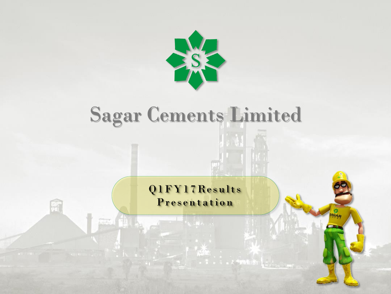

# Sagar Cements Limited

Q1FY17Results Presentation

 $\cdots$   $\cdots$   $\cdots$ 

SU.

**AGAR**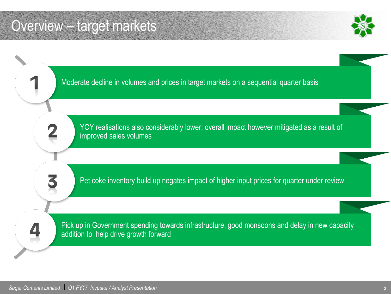### Overview – target markets



Moderate decline in volumes and prices in target markets on a sequential quarter basis YOY realisations also considerably lower; overall impact however mitigated as a result of improved sales volumes i<br>I Pet coke inventory build up negates impact of higher input prices for quarter under review Pick up in Government spending towards infrastructure, good monsoons and delay in new capacity addition to help drive growth forward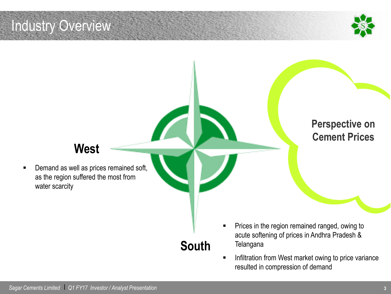### Industry Overview



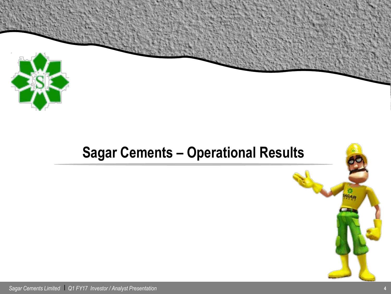

### **Sagar Cements – Operational Results**



*Sagar Cements Limited* l *Q1 FY17 Investor / Analyst Presentation* **<sup>4</sup>**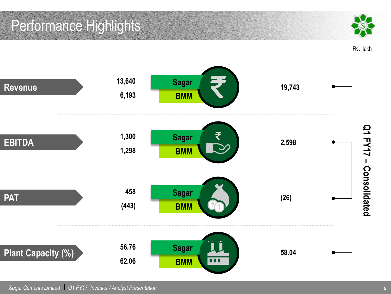### Performance Highlights



Rs. lakh

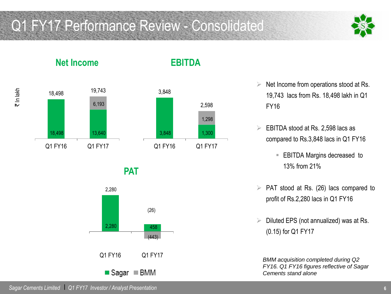### Q1 FY17 Performance Review - Consolidated



**Net Income**

#### **EBITDA**





**PAT**



- $\triangleright$  Net Income from operations stood at Rs. 19,743 lacs from Rs. 18,498 lakh in Q1 FY16
- $\triangleright$  EBITDA stood at Rs. 2,598 lacs as compared to Rs.3,848 lacs in Q1 FY16
	- EBITDA Margins decreased to 13% from 21%
- $\triangleright$  PAT stood at Rs. (26) lacs compared to profit of Rs.2,280 lacs in Q1 FY16
- $\triangleright$  Diluted EPS (not annualized) was at Rs. (0.15) for Q1 FY17

*BMM acquisition completed during Q2 FY16. Q1 FY16 figures reflective of Sagar Cements stand alone*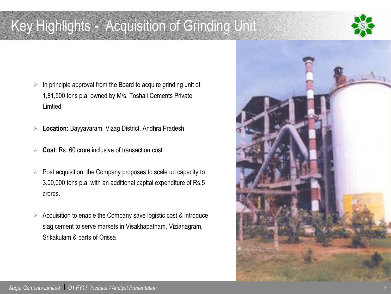### Key Highlights - Acquisition of Grinding Unit



- $\triangleright$  In principle approval from the Board to acquire grinding unit of 1,81,500 tons p.a. owned by M/s. Toshali Cements Private Limtied
- **Location:** Bayyavaram, Vizag District, Andhra Pradesh
- **Cost**: Rs. 60 crore inclusive of transaction cost
- $\triangleright$  Post acquisition, the Company proposes to scale up capacity to 3,00,000 tons p.a. with an additional capital expenditure of Rs.5 crores.
- Acquisition to enable the Company save logistic cost & introduce slag cement to serve markets in Visakhapatnam, Vizianagram, Srikakulam & parts of Orissa

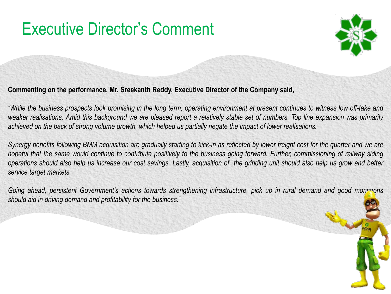### Executive Director's Comment



#### **Commenting on the performance, Mr. Sreekanth Reddy, Executive Director of the Company said,**

"While the business prospects look promising in the long term, operating environment at present continues to witness low off-take and weaker realisations. Amid this background we are pleased report a relatively stable set of numbers. Top line expansion was primarily achieved on the back of strong volume growth, which helped us partially negate the impact of lower realisations.

Synergy benefits following BMM acquisition are gradually starting to kick-in as reflected by lower freight cost for the quarter and we are hopeful that the same would continue to contribute positively to the business going forward. Further, commissioning of railway siding operations should also help us increase our cost savings. Lastly, acquisition of the grinding unit should also help us grow and better *service target markets.* 

Going ahead, persistent Government's actions towards strengthening infrastructure, pick up in rural demand and good monsoons *should aid in driving demand and profitability for the business."*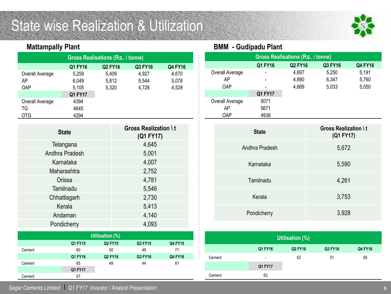### State wise Realization & Utilization



#### **Mattampally Plant**

| <b>Gross Realisations (Rs. / tonne)</b>                |       |       |       |       |  |  |  |  |
|--------------------------------------------------------|-------|-------|-------|-------|--|--|--|--|
| Q1 FY16<br>Q3 FY16<br><b>Q2 FY16</b><br><b>Q4 FY16</b> |       |       |       |       |  |  |  |  |
| Overall Average                                        | 5,259 | 5,409 | 4,927 | 4,670 |  |  |  |  |
| AΡ                                                     | 6,049 | 5,812 | 5,544 | 5,078 |  |  |  |  |
| <b>OAP</b>                                             | 5,105 | 5,320 | 4,728 | 4,528 |  |  |  |  |
| Q1 FY17                                                |       |       |       |       |  |  |  |  |
| Overall Average                                        | 4394  |       |       |       |  |  |  |  |
| ΤG                                                     | 4645  |       |       |       |  |  |  |  |
| OTG                                                    | 4294  |       |       |       |  |  |  |  |

| <b>State</b>   | <b>Gross Realization \t</b><br>(Q1 FY17) |
|----------------|------------------------------------------|
| Telangana      | 4,645                                    |
| Andhra Pradesh | 5,001                                    |
| Karnataka      | 4,007                                    |
| Maharashtra    | 2,752                                    |
| Orissa         | 4,781                                    |
| Tamilnadu      | 5,546                                    |
| Chhattisgarh   | 2,730                                    |
| Kerala         | 5,413                                    |
| Andaman        | 4,140                                    |
| Pondicherry    | 4,093                                    |

| Utilisation (%) |         |                |         |                |  |  |
|-----------------|---------|----------------|---------|----------------|--|--|
|                 | Q1 FY15 | Q2 FY15        | Q3 FY15 | <b>Q4 FY15</b> |  |  |
| Cement          | 60      | 50             | 49      | 71             |  |  |
|                 | Q1 FY16 | <b>Q2 FY16</b> | Q3 FY16 | Q4 FY16        |  |  |
| Cement          | 65      | 49             | 44      | 61             |  |  |
|                 | Q1 FY17 |                |         |                |  |  |
| Cement          | 57      |                |         |                |  |  |

**BMM - Gudipadu Plant**

| <b>Gross Realisations (Rs. / tonne)</b>         |         |       |       |       |  |  |  |  |  |
|-------------------------------------------------|---------|-------|-------|-------|--|--|--|--|--|
| <b>Q2 FY16</b><br>Q3 FY16<br>Q1 FY16<br>Q4 FY16 |         |       |       |       |  |  |  |  |  |
| Overall Average                                 |         | 4,697 | 5,250 | 5,191 |  |  |  |  |  |
| AP                                              |         | 4,890 | 6,347 | 5,760 |  |  |  |  |  |
| <b>OAP</b>                                      |         | 4,669 | 5,033 | 5,050 |  |  |  |  |  |
|                                                 | Q1 FY17 |       |       |       |  |  |  |  |  |
| Overall Average                                 | 5071    |       |       |       |  |  |  |  |  |
| AP                                              | 5671    |       |       |       |  |  |  |  |  |
| <b>OAP</b>                                      | 4938    |       |       |       |  |  |  |  |  |

| <b>State</b>   | <b>Gross Realization \t</b><br>(Q1 FY17) |
|----------------|------------------------------------------|
| Andhra Pradesh | 5,672                                    |
| Karnataka      | 5,590                                    |
| Tamilnadu      | 4,261                                    |
| Kerala         | 3,753                                    |
| Pondicherry    | 3,928                                    |

| Utilisation (%) |                          |                |         |         |  |  |
|-----------------|--------------------------|----------------|---------|---------|--|--|
|                 | Q1 FY16                  | <b>Q2 FY16</b> | Q3 FY16 | Q4 FY16 |  |  |
| Cement          | $\overline{\phantom{a}}$ | 52             | 51      | 58      |  |  |
|                 | Q1 FY17                  |                |         |         |  |  |
| Cement          | 62                       |                |         |         |  |  |

*Sagar Cements Limited* l *Q1 FY17 Investor / Analyst Presentation*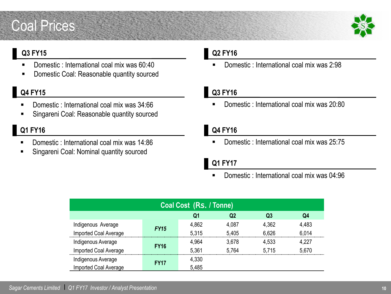### Coal Prices



#### **Q3 FY15**

- Domestic : International coal mix was 60:40
- **Domestic Coal: Reasonable quantity sourced**

#### **Q4 FY15**

- Domestic : International coal mix was 34:66
- Singareni Coal: Reasonable quantity sourced

#### **Q1 FY16**

- Domestic : International coal mix was 14:86
- Singareni Coal: Nominal quantity sourced

#### **Q2 FY16**

Domestic : International coal mix was 2:98

#### **Q3 FY16**

Domestic : International coal mix was 20:80

#### **Q4 FY16**

Domestic : International coal mix was 25:75

#### **Q1 FY17**

Domestic : International coal mix was 04:96

| Coal Cost (Rs. / Tonne)          |             |       |       |       |       |  |  |
|----------------------------------|-------------|-------|-------|-------|-------|--|--|
| Q2<br>Q <sub>3</sub><br>Q4<br>Q1 |             |       |       |       |       |  |  |
| Indigenous Average               | <b>FY15</b> | 4,862 | 4,087 | 4,362 | 4,483 |  |  |
| Imported Coal Average            |             | 5,315 | 5,405 | 6,626 | 6,014 |  |  |
| Indigenous Average               | <b>FY16</b> | 4,964 | 3,678 | 4,533 | 4,227 |  |  |
| <b>Imported Coal Average</b>     |             | 5,361 | 5.764 | 5.715 | 5,670 |  |  |
| Indigenous Average               | <b>FY17</b> | 4,330 |       |       |       |  |  |
| Imported Coal Average            |             | 5,485 |       |       |       |  |  |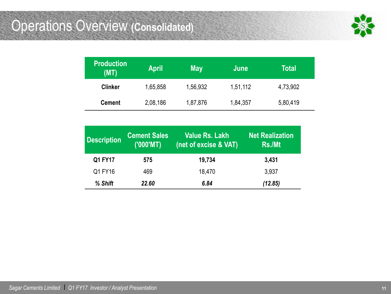### Operations Overview **(Consolidated)**



| <b>Production</b><br>(MT) | <b>April</b> | <b>May</b> | June     | Total    |
|---------------------------|--------------|------------|----------|----------|
| <b>Clinker</b>            | 1,65,858     | 1,56,932   | 1,51,112 | 4,73,902 |
| <b>Cement</b>             | 2,08,186     | 1,87,876   | 1,84,357 | 5,80,419 |

| <b>Description</b> | <b>Cement Sales</b><br>(′000'MT) | <b>Value Rs. Lakh</b><br>(net of excise & VAT) | <b>Net Realization</b><br>Rs./Mt |
|--------------------|----------------------------------|------------------------------------------------|----------------------------------|
| Q1 FY17            | 575                              | 19,734                                         | 3,431                            |
| Q1 FY16            | 469                              | 18,470                                         | 3,937                            |
| % Shift            | 22.60                            | 6.84                                           | (12.85)                          |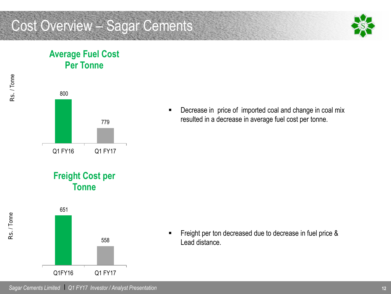### Cost Overview – Sagar Cements



#### **Average Fuel Cost Per Tonne**



**•** Decrease in price of imported coal and change in coal mix resulted in a decrease in average fuel cost per tonne.

**Freight Cost per Tonne**



**Figure 1** Freight per ton decreased due to decrease in fuel price & Lead distance.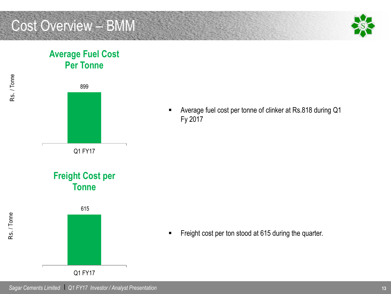### Cost Overview – BMM



#### **Average Fuel Cost Per Tonne**



Q1 FY17

 Average fuel cost per tonne of clinker at Rs.818 during Q1 Fy 2017

Freight cost per ton stood at 615 during the quarter.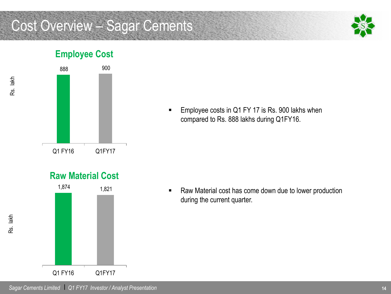### Cost Overview – Sagar Cements



### **Employee Cost**



**Employee costs in Q1 FY 17 is Rs. 900 lakhs when** compared to Rs. 888 lakhs during Q1FY16.

**Raw Material Cost**



**Raw Material cost has come down due to lower production** during the current quarter.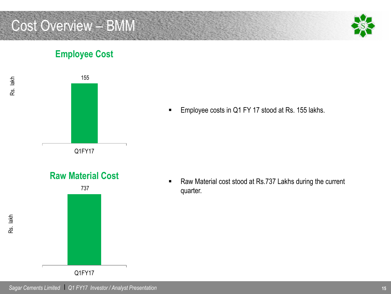### Cost Overview – BMM



#### **Employee Cost**



**Employee costs in Q1 FY 17 stood at Rs. 155 lakhs.** 

- **Raw Material Cost**
- 737 Q1FY17

■ Raw Material cost stood at Rs.737 Lakhs during the current quarter.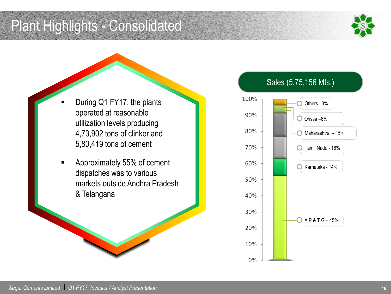Plant Highlights - Consolidated



- During Q1 FY17, the plants operated at reasonable utilization levels producing 4,73,902 tons of clinker and 5,80,419 tons of cement
- Approximately 55% of cement dispatches was to various markets outside Andhra Pradesh & Telangana

#### Sales (5,75,156 Mts.)

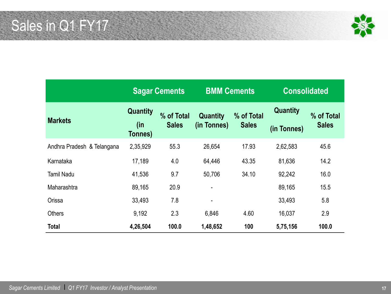Sales in Q1 FY17



|                            |                            | <b>Sagar Cements</b>       | <b>BMM Cements</b>             |                            | <b>Consolidated</b>            |                            |
|----------------------------|----------------------------|----------------------------|--------------------------------|----------------------------|--------------------------------|----------------------------|
| <b>Markets</b>             | Quantity<br>(in<br>Tonnes) | % of Total<br><b>Sales</b> | <b>Quantity</b><br>(in Tonnes) | % of Total<br><b>Sales</b> | <b>Quantity</b><br>(in Tonnes) | % of Total<br><b>Sales</b> |
| Andhra Pradesh & Telangana | 2,35,929                   | 55.3                       | 26,654                         | 17.93                      | 2,62,583                       | 45.6                       |
| Karnataka                  | 17,189                     | 4.0                        | 64,446                         | 43.35                      | 81,636                         | 14.2                       |
| <b>Tamil Nadu</b>          | 41,536                     | 9.7                        | 50,706                         | 34.10                      | 92,242                         | 16.0                       |
| Maharashtra                | 89,165                     | 20.9                       | -                              |                            | 89,165                         | 15.5                       |
| Orissa                     | 33,493                     | 7.8                        | $\blacksquare$                 |                            | 33,493                         | 5.8                        |
| <b>Others</b>              | 9,192                      | 2.3                        | 6,846                          | 4.60                       | 16,037                         | 2.9                        |
| <b>Total</b>               | 4,26,504                   | 100.0                      | 1,48,652                       | 100                        | 5,75,156                       | 100.0                      |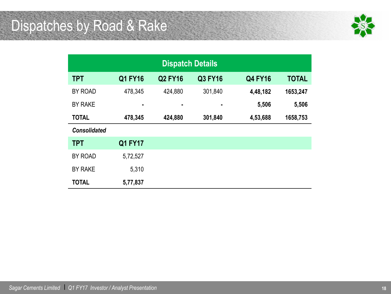## Dispatches by Road & Rake



| <b>Dispatch Details</b> |                |                |                |                |              |  |
|-------------------------|----------------|----------------|----------------|----------------|--------------|--|
| <b>TPT</b>              | <b>Q1 FY16</b> | <b>Q2 FY16</b> | <b>Q3 FY16</b> | <b>Q4 FY16</b> | <b>TOTAL</b> |  |
| BY ROAD                 | 478,345        | 424,880        | 301,840        | 4,48,182       | 1653,247     |  |
| <b>BY RAKE</b>          | $\blacksquare$ | ٠              | ٠              | 5,506          | 5,506        |  |
| <b>TOTAL</b>            | 478,345        | 424,880        | 301,840        | 4,53,688       | 1658,753     |  |
| <b>Consolidated</b>     |                |                |                |                |              |  |
| <b>TPT</b>              | <b>Q1 FY17</b> |                |                |                |              |  |
| BY ROAD                 | 5,72,527       |                |                |                |              |  |
| <b>BY RAKE</b>          | 5,310          |                |                |                |              |  |
| <b>TOTAL</b>            | 5,77,837       |                |                |                |              |  |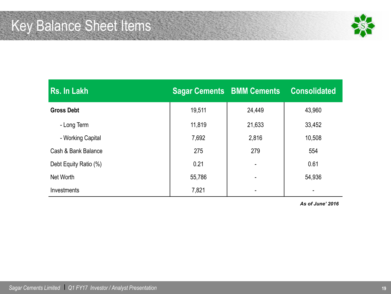

| Rs. In Lakh           |        | <b>Sagar Cements BMM Cements</b> | <b>Consolidated</b> |
|-----------------------|--------|----------------------------------|---------------------|
| <b>Gross Debt</b>     | 19,511 | 24,449                           | 43,960              |
| - Long Term           | 11,819 | 21,633                           | 33,452              |
| - Working Capital     | 7,692  | 2,816                            | 10,508              |
| Cash & Bank Balance   | 275    | 279                              | 554                 |
| Debt Equity Ratio (%) | 0.21   |                                  | 0.61                |
| Net Worth             | 55,786 |                                  | 54,936              |
| Investments           | 7,821  |                                  | $\blacksquare$      |

*As of June' 2016*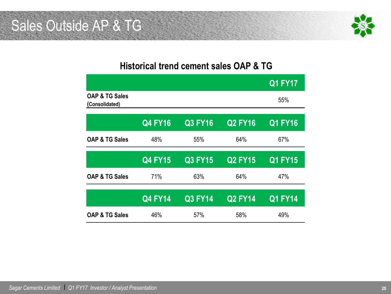### Sales Outside AP & TG



#### **Historical trend cement sales OAP & TG**

|                                             |                |                |                | <b>Q1 FY17</b> |
|---------------------------------------------|----------------|----------------|----------------|----------------|
| <b>OAP &amp; TG Sales</b><br>(Consolidated) |                |                |                | 55%            |
|                                             | <b>Q4 FY16</b> | Q3 FY16        | <b>Q2 FY16</b> | <b>Q1 FY16</b> |
| <b>OAP &amp; TG Sales</b>                   | 48%            | 55%            | 64%            | 67%            |
|                                             | <b>Q4 FY15</b> | <b>Q3 FY15</b> | Q2 FY15        | <b>Q1 FY15</b> |
| <b>OAP &amp; TG Sales</b>                   | 71%            | 63%            | 64%            | 47%            |
|                                             | <b>Q4 FY14</b> | <b>Q3 FY14</b> | <b>Q2 FY14</b> | <b>Q1 FY14</b> |
| <b>OAP &amp; TG Sales</b>                   | 46%            | 57%            | 58%            | 49%            |